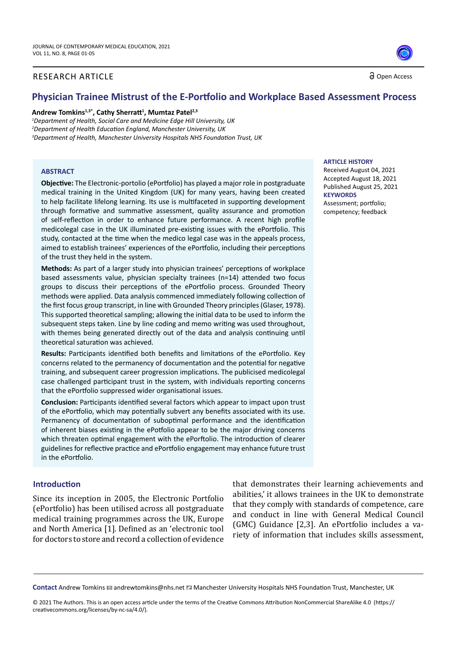#### RESEARCH ARTICLE

Open Access

# **Physician Trainee Mistrust of the E-Portfolio and Workplace Based Assessment Process**

#### **Andrew Tomkins1,3\*, Cathy Sherratt<sup>1</sup> , Mumtaz Patel2,3**

*1 Department of Health, Social Care and Medicine Edge Hill University, UK 2 Department of Health Education England, Manchester University, UK 3 Department of Health, Manchester University Hospitals NHS Foundation Trust, UK*

#### **ABSTRACT**

**Objective:** The Electronic-portolio (ePortfolio) has played a major role in postgraduate medical training in the United Kingdom (UK) for many years, having been created to help facilitate lifelong learning. Its use is multifaceted in supporting development through formative and summative assessment, quality assurance and promotion of self-reflection in order to enhance future performance. A recent high profile medicolegal case in the UK illuminated pre-existing issues with the ePortfolio. This study, contacted at the time when the medico legal case was in the appeals process, aimed to establish trainees' experiences of the ePortfolio, including their perceptions of the trust they held in the system.

**Methods:** As part of a larger study into physician trainees' perceptions of workplace based assessments value, physician specialty trainees (n=14) attended two focus groups to discuss their perceptions of the ePortfolio process. Grounded Theory methods were applied. Data analysis commenced immediately following collection of the first focus group transcript, in line with Grounded Theory principles (Glaser, 1978). This supported theoretical sampling; allowing the initial data to be used to inform the subsequent steps taken. Line by line coding and memo writing was used throughout, with themes being generated directly out of the data and analysis continuing until theoretical saturation was achieved.

**Results:** Participants identified both benefits and limitations of the ePortfolio. Key concerns related to the permanency of documentation and the potential for negative training, and subsequent career progression implications. The publicised medicolegal case challenged participant trust in the system, with individuals reporting concerns that the ePortfolio suppressed wider organisational issues.

**Conclusion:** Participants identified several factors which appear to impact upon trust of the ePortfolio, which may potentially subvert any benefits associated with its use. Permanency of documentation of suboptimal performance and the identification of inherent biases existing in the ePotfolio appear to be the major driving concerns which threaten optimal engagement with the ePorftolio. The introduction of clearer guidelines for reflective practice and ePortfolio engagement may enhance future trust in the ePortfolio.

#### **Introduction**

Since its inception in 2005, the Electronic Portfolio (ePortfolio) has been utilised across all postgraduate medical training programmes across the UK, Europe and North America [1]. Defined as an 'electronic tool for doctors to store and record a collection of evidence

that demonstrates their learning achievements and abilities,' it allows trainees in the UK to demonstrate that they comply with standards of competence, care and conduct in line with General Medical Council (GMC) Guidance [2,3]. An ePortfolio includes a variety of information that includes skills assessment,

Contact Andrew Tomkins **⊠** andrewtomkins@nhs.net **Manchester University Hospitals NHS Foundation Trust**, Manchester, UK

#### **ARTICLE HISTORY**

Received August 04, 2021 Accepted August 18, 2021 Published August 25, 2021 **KEYWORDS** Assessment; portfolio; competency; feedback

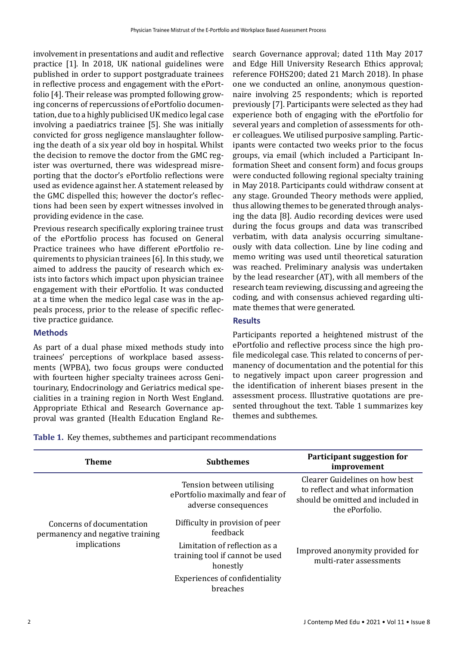involvement in presentations and audit and reflective practice [1]. In 2018, UK national guidelines were published in order to support postgraduate trainees in reflective process and engagement with the ePortfolio [4]. Their release was prompted following growing concerns of repercussions of ePortfolio documentation, due to a highly publicised UK medico legal case involving a paediatrics trainee [5]. She was initially convicted for gross negligence manslaughter following the death of a six year old boy in hospital. Whilst the decision to remove the doctor from the GMC register was overturned, there was widespread misreporting that the doctor's ePortfolio reflections were used as evidence against her. A statement released by the GMC dispelled this; however the doctor's reflections had been seen by expert witnesses involved in providing evidence in the case.

Previous research specifically exploring trainee trust of the ePortfolio process has focused on General Practice trainees who have different ePortfolio requirements to physician trainees [6]. In this study, we aimed to address the paucity of research which exists into factors which impact upon physician trainee engagement with their ePortfolio. It was conducted at a time when the medico legal case was in the appeals process, prior to the release of specific reflective practice guidance.

#### **Methods**

As part of a dual phase mixed methods study into trainees' perceptions of workplace based assessments (WPBA), two focus groups were conducted with fourteen higher specialty trainees across Genitourinary, Endocrinology and Geriatrics medical specialities in a training region in North West England. Appropriate Ethical and Research Governance approval was granted (Health Education England Research Governance approval; dated 11th May 2017 and Edge Hill University Research Ethics approval; reference FOHS200; dated 21 March 2018). In phase one we conducted an online, anonymous questionnaire involving 25 respondents; which is reported previously [7]. Participants were selected as they had experience both of engaging with the ePortfolio for several years and completion of assessments for other colleagues. We utilised purposive sampling. Participants were contacted two weeks prior to the focus groups, via email (which included a Participant Information Sheet and consent form) and focus groups were conducted following regional specialty training in May 2018. Participants could withdraw consent at any stage. Grounded Theory methods were applied, thus allowing themes to be generated through analysing the data [8]. Audio recording devices were used during the focus groups and data was transcribed verbatim, with data analysis occurring simultaneously with data collection. Line by line coding and memo writing was used until theoretical saturation was reached. Preliminary analysis was undertaken by the lead researcher (AT), with all members of the research team reviewing, discussing and agreeing the coding, and with consensus achieved regarding ultimate themes that were generated.

## **Results**

Participants reported a heightened mistrust of the ePortfolio and reflective process since the high profile medicolegal case. This related to concerns of permanency of documentation and the potential for this to negatively impact upon career progression and the identification of inherent biases present in the assessment process. Illustrative quotations are presented throughout the text. Table 1 summarizes key themes and subthemes.

**Table 1.** Key themes, subthemes and participant recommendations

| <b>Theme</b>                                                                  | <b>Subthemes</b>                                                                      | Participant suggestion for<br>improvement                                                                                |
|-------------------------------------------------------------------------------|---------------------------------------------------------------------------------------|--------------------------------------------------------------------------------------------------------------------------|
| Concerns of documentation<br>permanency and negative training<br>implications | Tension between utilising<br>ePortfolio maximally and fear of<br>adverse consequences | Clearer Guidelines on how best<br>to reflect and what information<br>should be omitted and included in<br>the ePorfolio. |
|                                                                               | Difficulty in provision of peer<br>feedback                                           |                                                                                                                          |
|                                                                               | Limitation of reflection as a<br>training tool if cannot be used<br>honestly          | Improved anonymity provided for<br>multi-rater assessments                                                               |
|                                                                               | <b>Experiences of confidentiality</b><br>breaches                                     |                                                                                                                          |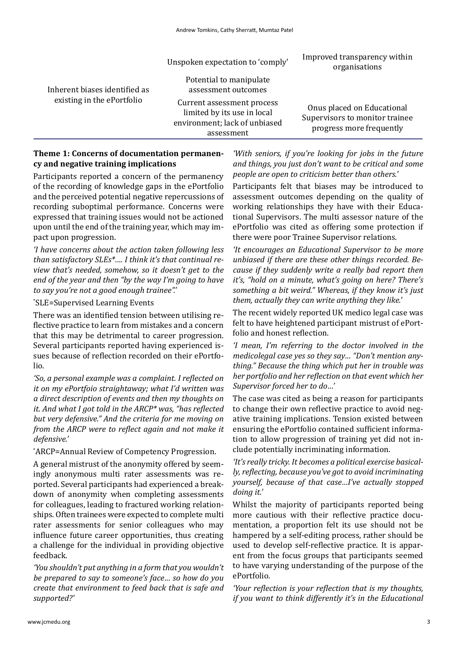| Inherent biases identified as<br>existing in the ePortfolio | Unspoken expectation to 'comply'                                                                         | Improved transparency within<br>organisations                                            |
|-------------------------------------------------------------|----------------------------------------------------------------------------------------------------------|------------------------------------------------------------------------------------------|
|                                                             | Potential to manipulate<br>assessment outcomes                                                           |                                                                                          |
|                                                             | Current assessment process<br>limited by its use in local<br>environment; lack of unbiased<br>assessment | Onus placed on Educational<br>Supervisors to monitor trainee<br>progress more frequently |
|                                                             |                                                                                                          |                                                                                          |

## **Theme 1: Concerns of documentation permanency and negative training implications**

Participants reported a concern of the permanency of the recording of knowledge gaps in the ePortfolio and the perceived potential negative repercussions of recording suboptimal performance. Concerns were expressed that training issues would not be actioned upon until the end of the training year, which may impact upon progression.

*'I have concerns about the action taken following less than satisfactory SLEs\*…. I think it's that continual review that's needed, somehow, so it doesn't get to the end of the year and then "by the way I'm going to have to say you're not a good enough trainee".'*

# \* SLE=Supervised Learning Events

There was an identified tension between utilising reflective practice to learn from mistakes and a concern that this may be detrimental to career progression. Several participants reported having experienced issues because of reflection recorded on their ePortfolio.

*'So, a personal example was a complaint. I reflected on it on my ePortfoio straightaway; what I'd written was a direct description of events and then my thoughts on it. And what I got told in the ARCP\* was, "has reflected but very defensive." And the criteria for me moving on from the ARCP were to reflect again and not make it defensive.'*

\* ARCP=Annual Review of Competency Progression.

A general mistrust of the anonymity offered by seemingly anonymous multi rater assessments was reported. Several participants had experienced a breakdown of anonymity when completing assessments for colleagues, leading to fractured working relationships. Often trainees were expected to complete multi rater assessments for senior colleagues who may influence future career opportunities, thus creating a challenge for the individual in providing objective feedback.

*'You shouldn't put anything in a form that you wouldn't be prepared to say to someone's face… so how do you create that environment to feed back that is safe and supported?'*

*'With seniors, if you're looking for jobs in the future and things, you just don't want to be critical and some people are open to criticism better than others.'*

Participants felt that biases may be introduced to assessment outcomes depending on the quality of working relationships they have with their Educational Supervisors. The multi assessor nature of the ePortfolio was cited as offering some protection if there were poor Trainee Supervisor relations.

*'It encourages an Educational Supervisor to be more unbiased if there are these other things recorded. Because if they suddenly write a really bad report then it's, "hold on a minute, what's going on here? There's something a bit weird." Whereas, if they know it's just them, actually they can write anything they like.'*

The recent widely reported UK medico legal case was felt to have heightened participant mistrust of ePortfolio and honest reflection.

*'I mean, I'm referring to the doctor involved in the medicolegal case yes so they say… "Don't mention anything." Because the thing which put her in trouble was her portfolio and her reflection on that event which her Supervisor forced her to do…'*

The case was cited as being a reason for participants to change their own reflective practice to avoid negative training implications. Tension existed between ensuring the ePortfolio contained sufficient information to allow progression of training yet did not include potentially incriminating information.

*'It's really tricky. It becomes a political exercise basically, reflecting, because you've got to avoid incriminating yourself, because of that case…I've actually stopped doing it.'*

Whilst the majority of participants reported being more cautious with their reflective practice documentation, a proportion felt its use should not be hampered by a self-editing process, rather should be used to develop self-reflective practice. It is apparent from the focus groups that participants seemed to have varying understanding of the purpose of the ePortfolio.

*'Your reflection is your reflection that is my thoughts, if you want to think differently it's in the Educational*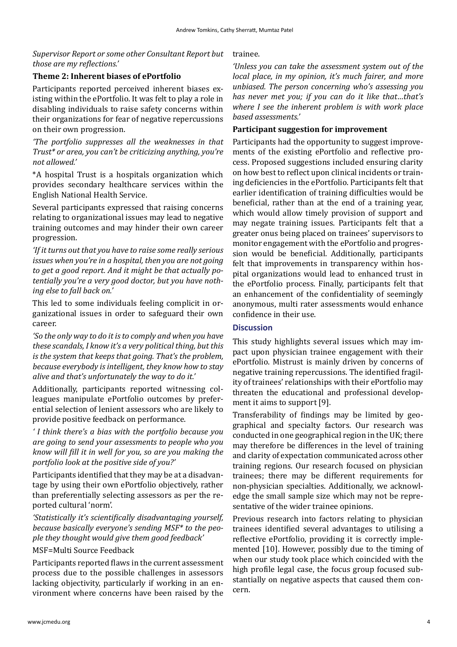## *Supervisor Report or some other Consultant Report but those are my reflections.'*

## **Theme 2: Inherent biases of ePortfolio**

Participants reported perceived inherent biases existing within the ePortfolio. It was felt to play a role in disabling individuals to raise safety concerns within their organizations for fear of negative repercussions on their own progression.

*'The portfolio suppresses all the weaknesses in that Trust\* or area, you can't be criticizing anything, you're not allowed.'*

\*A hospital Trust is a hospitals organization which provides secondary healthcare services within the English National Health Service.

Several participants expressed that raising concerns relating to organizational issues may lead to negative training outcomes and may hinder their own career progression.

*'If it turns out that you have to raise some really serious issues when you're in a hospital, then you are not going to get a good report. And it might be that actually potentially you're a very good doctor, but you have nothing else to fall back on.'*

This led to some individuals feeling complicit in organizational issues in order to safeguard their own career.

*'So the only way to do it is to comply and when you have these scandals, I know it's a very political thing, but this is the system that keeps that going. That's the problem, because everybody is intelligent, they know how to stay alive and that's unfortunately the way to do it.'*

Additionally, participants reported witnessing colleagues manipulate ePortfolio outcomes by preferential selection of lenient assessors who are likely to provide positive feedback on performance.

*' I think there's a bias with the portfolio because you are going to send your assessments to people who you know will fill it in well for you, so are you making the portfolio look at the positive side of you?'*

Participants identified that they may be at a disadvantage by using their own ePortfolio objectively, rather than preferentially selecting assessors as per the reported cultural 'norm'.

*'Statistically it's scientifically disadvantaging yourself, because basically everyone's sending MSF\* to the people they thought would give them good feedback'*

## MSF=Multi Source Feedback

Participants reported flaws in the current assessment process due to the possible challenges in assessors lacking objectivity, particularly if working in an environment where concerns have been raised by the

#### trainee.

*'Unless you can take the assessment system out of the local place, in my opinion, it's much fairer, and more unbiased. The person concerning who's assessing you has never met you; if you can do it like that…that's where I see the inherent problem is with work place based assessments.'*

## **Participant suggestion for improvement**

Participants had the opportunity to suggest improvements of the existing ePortfolio and reflective process. Proposed suggestions included ensuring clarity on how best to reflect upon clinical incidents or training deficiencies in the ePortfolio. Participants felt that earlier identification of training difficulties would be beneficial, rather than at the end of a training year, which would allow timely provision of support and may negate training issues. Participants felt that a greater onus being placed on trainees' supervisors to monitor engagement with the ePortfolio and progression would be beneficial. Additionally, participants felt that improvements in transparency within hospital organizations would lead to enhanced trust in the ePortfolio process. Finally, participants felt that an enhancement of the confidentiality of seemingly anonymous, multi rater assessments would enhance confidence in their use.

## **Discussion**

This study highlights several issues which may impact upon physician trainee engagement with their ePortfolio. Mistrust is mainly driven by concerns of negative training repercussions. The identified fragility of trainees' relationships with their ePortfolio may threaten the educational and professional development it aims to support [9].

Transferability of findings may be limited by geographical and specialty factors. Our research was conducted in one geographical region in the UK; there may therefore be differences in the level of training and clarity of expectation communicated across other training regions. Our research focused on physician trainees; there may be different requirements for non-physician specialties. Additionally, we acknowledge the small sample size which may not be representative of the wider trainee opinions.

Previous research into factors relating to physician trainees identified several advantages to utilising a reflective ePortfolio, providing it is correctly implemented [10]. However, possibly due to the timing of when our study took place which coincided with the high profile legal case, the focus group focused substantially on negative aspects that caused them concern.